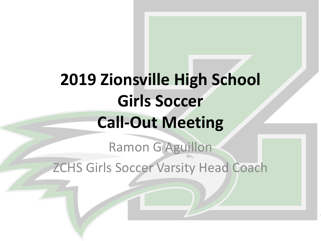# **2019 Zionsville High School Girls Soccer Call-Out Meeting**

Ramon G Aguillon ZCHS Girls Soccer Varsity Head Coach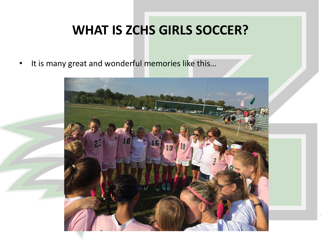### **WHAT IS ZCHS GIRLS SOCCER?**

• It is many great and wonderful memories like this...

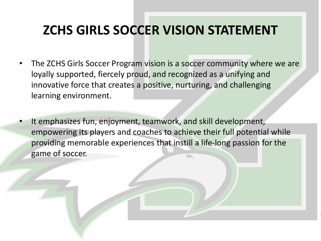### **ZCHS GIRLS SOCCER VISION STATEMENT**

- The ZCHS Girls Soccer Program vision is a soccer community where we are loyally supported, fiercely proud, and recognized as a unifying and innovative force that creates a positive, nurturing, and challenging learning environment.
- It emphasizes fun, enjoyment, teamwork, and skill development, empowering its players and coaches to achieve their full potential while providing memorable experiences that instill a life-long passion for the game of soccer.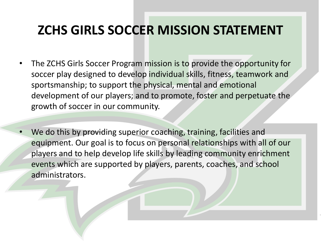### **ZCHS GIRLS SOCCER MISSION STATEMENT**

- The ZCHS Girls Soccer Program mission is to provide the opportunity for soccer play designed to develop individual skills, fitness, teamwork and sportsmanship; to support the physical, mental and emotional development of our players; and to promote, foster and perpetuate the growth of soccer in our community.
- We do this by providing superior coaching, training, facilities and equipment. Our goal is to focus on personal relationships with all of our players and to help develop life skills by leading community enrichment events which are supported by players, parents, coaches, and school administrators.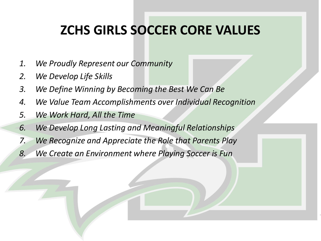### **ZCHS GIRLS SOCCER CORE VALUES**

- *1. We Proudly Represent our Community*
- *2. We Develop Life Skills*
- *3. We Define Winning by Becoming the Best We Can Be*
- *4. We Value Team Accomplishments over Individual Recognition*
- *5. We Work Hard, All the Time*
- *6. We Develop Long Lasting and Meaningful Relationships*
- *7. We Recognize and Appreciate the Role that Parents Play*
- *8. We Create an Environment where Playing Soccer is Fun*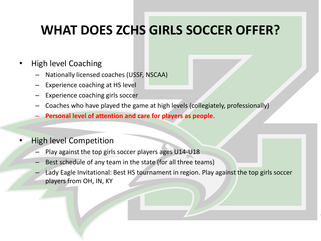### **WHAT DOES ZCHS GIRLS SOCCER OFFER?**

#### • High level Coaching

- Nationally licensed coaches (USSF, NSCAA)
- Experience coaching at HS level
- Experience coaching girls soccer
- Coaches who have played the game at high levels (collegiately, professionally)
- **Personal level of attention and care for players as people**.

#### • High level Competition

- Play against the top girls soccer players ages U14-U18
- Best schedule of any team in the state (for all three teams)
- Lady Eagle Invitational: Best HS tournament in region. Play against the top girls soccer players from OH, IN, KY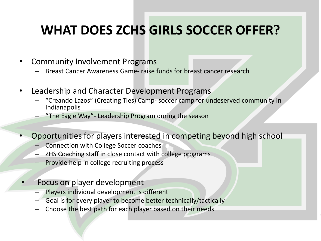### **WHAT DOES ZCHS GIRLS SOCCER OFFER?**

- Community Involvement Programs
	- Breast Cancer Awareness Game- raise funds for breast cancer research
- Leadership and Character Development Programs
	- "Creando Lazos" (Creating Ties) Camp- soccer camp for undeserved community in Indianapolis
	- "The Eagle Way"- Leadership Program during the season
- Opportunities for players interested in competing beyond high school
	- Connection with College Soccer coaches
	- ZHS Coaching staff in close contact with college programs
	- Provide help in college recruiting process
	- Focus on player development
		- Players individual development is different
		- Goal is for every player to become better technically/tactically
		- Choose the best path for each player based on their needs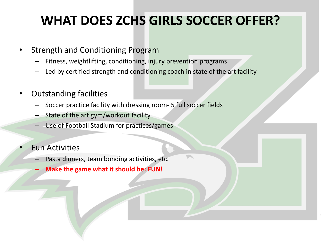## **WHAT DOES ZCHS GIRLS SOCCER OFFER?**

- Strength and Conditioning Program
	- Fitness, weightlifting, conditioning, injury prevention programs
	- Led by certified strength and conditioning coach in state of the art facility
- Outstanding facilities
	- Soccer practice facility with dressing room- 5 full soccer fields
	- State of the art gym/workout facility
	- Use of Football Stadium for practices/games
- **Fun Activities** 
	- Pasta dinners, team bonding activities, etc.
	- **Make the game what it should be: FUN!**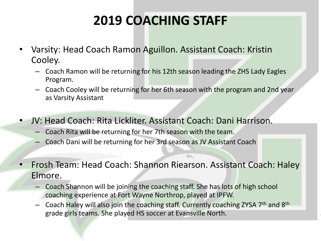# **2019 COACHING STAFF**

- Varsity: Head Coach Ramon Aguillon. Assistant Coach: Kristin Cooley.
	- Coach Ramon will be returning for his 12th season leading the ZHS Lady Eagles Program.
	- Coach Cooley will be returning for her 6th season with the program and 2nd year as Varsity Assistant
- JV: Head Coach: Rita Lickliter. Assistant Coach: Dani Harrison.
	- Coach Rita will be returning for her 7th season with the team.
	- Coach Dani will be returning for her 3rd season as JV Assistant Coach
- Frosh Team: Head Coach: Shannon Riearson. Assistant Coach: Haley Elmore.
	- Coach Shannon will be joining the coaching staff. She has lots of high school coaching experience at Fort Wayne Northrop, played at IPFW.
	- Coach Haley will also join the coaching staff. Currently coaching ZYSA 7<sup>th</sup> and 8<sup>th</sup> grade girls teams. She played HS soccer at Evansville North.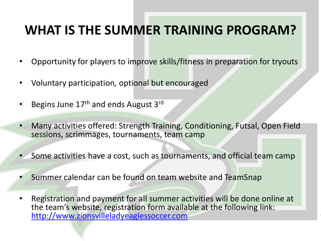### **WHAT IS THE SUMMER TRAINING PROGRAM?**

- Opportunity for players to improve skills/fitness in preparation for tryouts
- Voluntary participation, optional but encouraged
- Begins June 17<sup>th</sup> and ends August 3<sup>rd</sup>
- Many activities offered: Strength Training, Conditioning, Futsal, Open Field sessions, scrimmages, tournaments, team camp
- Some activities have a cost, such as tournaments, and official team camp
- Summer calendar can be found on team website and TeamSnap
- Registration and payment for all summer activities will be done online at the team's website, registration form available at the following link: [http://www.zionsvilleladyeaglessoccer.com](http://www.zionsvilleladyeaglessoccer.com/)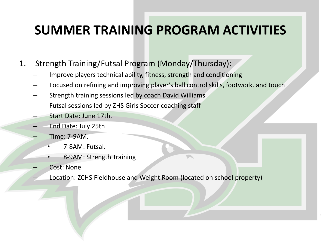- 1. Strength Training/Futsal Program (Monday/Thursday):
	- Improve players technical ability, fitness, strength and conditioning
	- Focused on refining and improving player's ball control skills, footwork, and touch
	- Strength training sessions led by coach David Williams
	- Futsal sessions led by ZHS Girls Soccer coaching staff
	- Start Date: June 17th.
	- End Date: July 25th
	- Time: 7-9AM.
		- 7-8AM: Futsal.
		- 8-9AM: Strength Training
	- Cost: None
	- Location: ZCHS Fieldhouse and Weight Room (located on school property)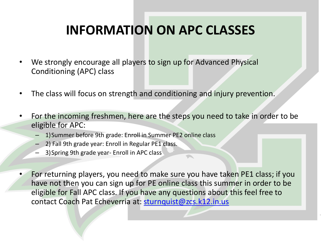### **INFORMATION ON APC CLASSES**

- We strongly encourage all players to sign up for Advanced Physical Conditioning (APC) class
- The class will focus on strength and conditioning and injury prevention.
- For the incoming freshmen, here are the steps you need to take in order to be eligible for APC:
	- 1)Summer before 9th grade: Enroll in Summer PE2 online class
	- 2) Fall 9th grade year: Enroll in Regular PE1 class.
	- 3)Spring 9th grade year- Enroll in APC class
- For returning players, you need to make sure you have taken PE1 class; if you have not then you can sign up for PE online class this summer in order to be eligible for Fall APC class. If you have any questions about this feel free to contact Coach Pat Echeverria at: [sturnquist@zcs.k12.in.us](mailto:sturnquist@zcs.k12.in.us)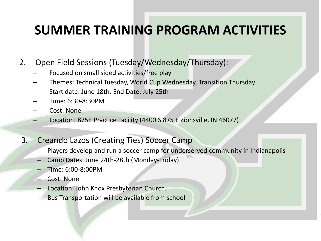- 2. Open Field Sessions (Tuesday/Wednesday/Thursday):
	- Focused on small sided activities/free play
	- Themes: Technical Tuesday, World Cup Wednesday, Transition Thursday
	- Start date: June 18th. End Date: July 25th
	- Time: 6:30-8:30PM
	- Cost: None
	- Location: 875E Practice Facility (4400 S 875 E Zionsville, IN 46077)
- 3. Creando Lazos (Creating Ties) Soccer Camp
	- Players develop and run a soccer camp for underserved community in Indianapolis
	- Camp Dates: June 24th-28th (Monday-Friday)
	- Time: 6:00-8:00PM
	- Cost: None
	- Location: John Knox Presbyterian Church.
	- Bus Transportation will be available from school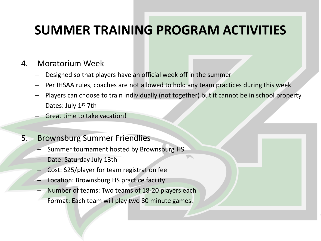#### 4. Moratorium Week

- Designed so that players have an official week off in the summer
- Per IHSAA rules, coaches are not allowed to hold any team practices during this week
- Players can choose to train individually (not together) but it cannot be in school property
- Dates: July 1<sup>st</sup>-7th
- Great time to take vacation!

#### 5. Brownsburg Summer Friendlies

- Summer tournament hosted by Brownsburg HS
- Date: Saturday July 13th
- Cost: \$25/player for team registration fee
- Location: Brownsburg HS practice facility
- Number of teams: Two teams of 18-20 players each
- Format: Each team will play two 80 minute games.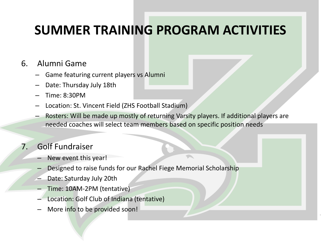#### 6. Alumni Game

- Game featuring current players vs Alumni
- Date: Thursday July 18th
- Time: 8:30PM
- Location: St. Vincent Field (ZHS Football Stadium)
- Rosters: Will be made up mostly of returning Varsity players. If additional players are needed coaches will select team members based on specific position needs

#### 7. Golf Fundraiser

- New event this year!
- Designed to raise funds for our Rachel Fiege Memorial Scholarship
- Date: Saturday July 20th
- Time: 10AM-2PM (tentative)
- Location: Golf Club of Indiana (tentative)
- More info to be provided soon!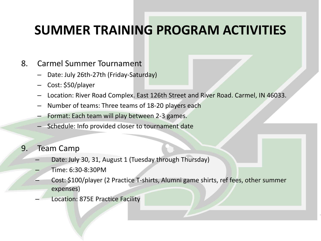#### 8. Carmel Summer Tournament

- Date: July 26th-27th (Friday-Saturday)
- Cost: \$50/player
- Location: River Road Complex. East 126th Street and River Road. Carmel, IN 46033.
- Number of teams: Three teams of 18-20 players each
- Format: Each team will play between 2-3 games.
- Schedule: Info provided closer to tournament date
- 9. Team Camp
	- Date: July 30, 31, August 1 (Tuesday through Thursday)
	- Time: 6:30-8:30PM
	- Cost: \$100/player (2 Practice T-shirts, Alumni game shirts, ref fees, other summer expenses)
	- Location: 875E Practice Facility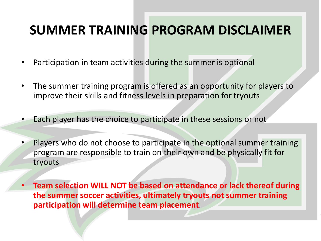### **SUMMER TRAINING PROGRAM DISCLAIMER**

- Participation in team activities during the summer is optional
- The summer training program is offered as an opportunity for players to improve their skills and fitness levels in preparation for tryouts
- Each player has the choice to participate in these sessions or not
- Players who do not choose to participate in the optional summer training program are responsible to train on their own and be physically fit for tryouts
- **Team selection WILL NOT be based on attendance or lack thereof during the summer soccer activities, ultimately tryouts not summer training participation will determine team placement**.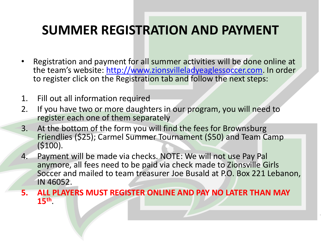### **SUMMER REGISTRATION AND PAYMENT**

- Registration and payment for all summer activities will be done online at the team's website: [http://www.zionsvilleladyeaglessoccer.com](http://www.zionsvilleladyeaglessoccer.com/). In order to register click on the Registration tab and follow the next steps:
- 1. Fill out all information required
- 2. If you have two or more daughters in our program, you will need to register each one of them separately
- 3. At the bottom of the form you will find the fees for Brownsburg Friendlies (\$25); Carmel Summer Tournament (\$50) and Team Camp (\$100).
- 4. Payment will be made via checks. NOTE: We will not use Pay Pal anymore, all fees need to be paid via check made to Zionsville Girls Soccer and mailed to team treasurer Joe Busald at P.O. Box 221 Lebanon, IN 46052.
- **5. ALL PLAYERS MUST REGISTER ONLINE AND PAY NO LATER THAN MAY 15th** .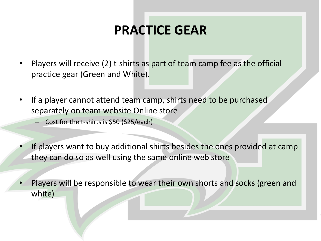### **PRACTICE GEAR**

- Players will receive (2) t-shirts as part of team camp fee as the official practice gear (Green and White).
- If a player cannot attend team camp, shirts need to be purchased separately on team website Online store
	- Cost for the t-shirts is \$50 (\$25/each)
- If players want to buy additional shirts besides the ones provided at camp they can do so as well using the same online web store
- Players will be responsible to wear their own shorts and socks (green and white)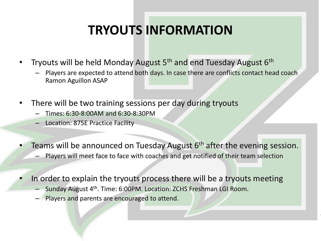# **TRYOUTS INFORMATION**

- Tryouts will be held Monday August 5<sup>th</sup> and end Tuesday August 6<sup>th</sup>
	- Players are expected to attend both days. In case there are conflicts contact head coach Ramon Aguillon ASAP
- There will be two training sessions per day during tryouts
	- Times: 6:30-8:00AM and 6:30-8:30PM
	- Location: 875E Practice Facility
- Teams will be announced on Tuesday August 6<sup>th</sup> after the evening session.
	- Players will meet face to face with coaches and get notified of their team selection
- In order to explain the tryouts process there will be a tryouts meeting
	- Sunday August 4<sup>th</sup>. Time: 6:00PM. Location: ZCHS Freshman LGI Room.
	- Players and parents are encouraged to attend.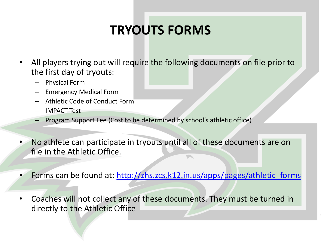# **TRYOUTS FORMS**

- All players trying out will require the following documents on file prior to the first day of tryouts:
	- Physical Form
	- Emergency Medical Form
	- Athletic Code of Conduct Form
	- IMPACT Test
	- Program Support Fee (Cost to be determined by school's athletic office)
- No athlete can participate in tryouts until all of these documents are on file in the Athletic Office.  $\blacksquare$
- Forms can be found at: [http://zhs.zcs.k12.in.us/apps/pages/athletic\\_forms](http://zhs.zcs.k12.in.us/apps/pages/athletic_forms)
- Coaches will not collect any of these documents. They must be turned in directly to the Athletic Office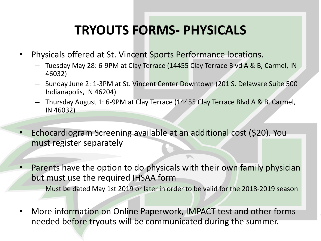# **TRYOUTS FORMS- PHYSICALS**

- Physicals offered at St. Vincent Sports Performance locations.
	- Tuesday May 28: 6-9PM at Clay Terrace (14455 Clay Terrace Blvd A & B, Carmel, IN 46032)
	- Sunday June 2: 1-3PM at St. Vincent Center Downtown (201 S. Delaware Suite 500 Indianapolis, IN 46204)
	- Thursday August 1: 6-9PM at Clay Terrace (14455 Clay Terrace Blvd A & B, Carmel, IN 46032)
- Echocardiogram Screening available at an additional cost (\$20). You must register separately
- Parents have the option to do physicals with their own family physician but must use the required IHSAA form
	- Must be dated May 1st 2019 or later in order to be valid for the 2018-2019 season
- More information on Online Paperwork, IMPACT test and other forms needed before tryouts will be communicated during the summer.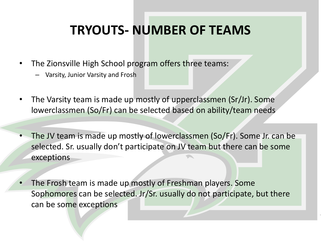### **TRYOUTS- NUMBER OF TEAMS**

- The Zionsville High School program offers three teams:
	- Varsity, Junior Varsity and Frosh
- The Varsity team is made up mostly of upperclassmen (Sr/Jr). Some lowerclassmen (So/Fr) can be selected based on ability/team needs
- The JV team is made up mostly of lowerclassmen (So/Fr). Some Jr. can be selected. Sr. usually don't participate on JV team but there can be some exceptions
- The Frosh team is made up mostly of Freshman players. Some Sophomores can be selected. Jr/Sr. usually do not participate, but there can be some exceptions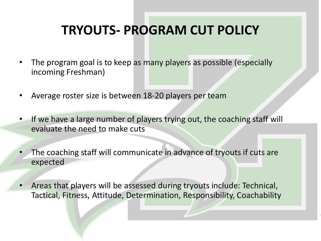## **TRYOUTS- PROGRAM CUT POLICY**

- The program goal is to keep as many players as possible (especially incoming Freshman)
- Average roster size is between 18-20 players per team
- If we have a large number of players trying out, the coaching staff will evaluate the need to make cuts
- The coaching staff will communicate in advance of tryouts if cuts are expected

• Areas that players will be assessed during tryouts include: Technical, Tactical, Fitness, Attitude, Determination, Responsibility, Coachability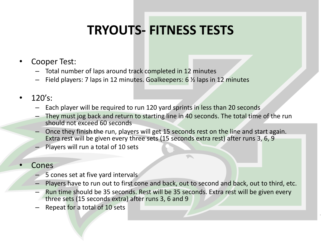# **TRYOUTS- FITNESS TESTS**

- Cooper Test:
	- Total number of laps around track completed in 12 minutes
	- Field players: 7 laps in 12 minutes. Goalkeepers: 6 ½ laps in 12 minutes
- $120's$ :
	- Each player will be required to run 120 yard sprints in less than 20 seconds
	- They must jog back and return to starting line in 40 seconds. The total time of the run should not exceed 60 seconds
	- Once they finish the run, players will get 15 seconds rest on the line and start again. Extra rest will be given every three sets (15 seconds extra rest) after runs 3, 6, 9
	- Players will run a total of 10 sets
- **Cones** 
	- 5 cones set at five yard intervals
	- Players have to run out to first cone and back, out to second and back, out to third, etc.
	- Run time should be 35 seconds. Rest will be 35 seconds. Extra rest will be given every three sets (15 seconds extra) after runs 3, 6 and 9
	- Repeat for a total of 10 sets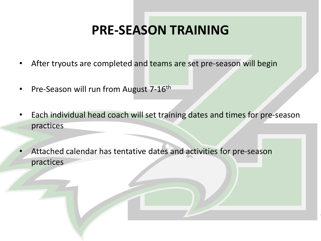### **PRE-SEASON TRAINING**

- After tryouts are completed and teams are set pre-season will begin
- Pre-Season will run from August 7-16<sup>th</sup>
- Each individual head coach will set training dates and times for pre-season practices
- Attached calendar has tentative dates and activities for pre-season practices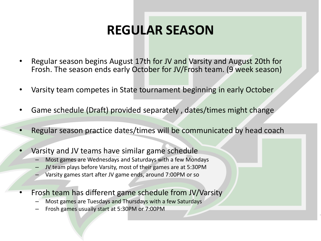## **REGULAR SEASON**

- Regular season begins August 17th for JV and Varsity and August 20th for Frosh. The season ends early October for JV/Frosh team. (9 week season)
- Varsity team competes in State tournament beginning in early October
- Game schedule (Draft) provided separately , dates/times might change
- Regular season practice dates/times will be communicated by head coach
- Varsity and JV teams have similar game schedule
	- Most games are Wednesdays and Saturdays with a few Mondays
	- JV team plays before Varsity, most of their games are at 5:30PM
	- Varsity games start after JV game ends, around 7:00PM or so
- Frosh team has different game schedule from JV/Varsity
	- Most games are Tuesdays and Thursdays with a few Saturdays
	- Frosh games usually start at 5:30PM or 7:00PM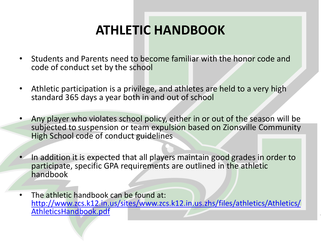# **ATHLETIC HANDBOOK**

- Students and Parents need to become familiar with the honor code and code of conduct set by the school
- Athletic participation is a privilege, and athletes are held to a very high standard 365 days a year both in and out of school
- Any player who violates school policy, either in or out of the season will be subjected to suspension or team expulsion based on Zionsville Community High School code of conduct guidelines
- In addition it is expected that all players maintain good grades in order to participate, specific GPA requirements are outlined in the athletic handbook
- The athletic handbook can be found at: [http://www.zcs.k12.in.us/sites/www.zcs.k12.in.us.zhs/files/athletics/Athletics/](http://www.zcs.k12.in.us/sites/www.zcs.k12.in.us.zhs/files/athletics/Athletics/AthleticsHandbook.pdf) AthleticsHandbook.pdf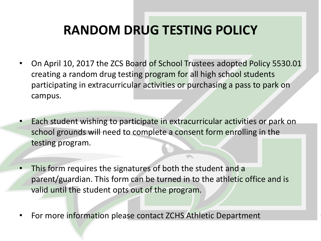## **RANDOM DRUG TESTING POLICY**

- On April 10, 2017 the ZCS Board of School Trustees adopted Policy 5530.01 creating a random drug testing program for all high school students participating in extracurricular activities or purchasing a pass to park on campus.
- Each student wishing to participate in extracurricular activities or park on school grounds will need to complete a consent form enrolling in the testing program.
- This form requires the signatures of both the student and a parent/guardian. This form can be turned in to the athletic office and is valid until the student opts out of the program.
- For more information please contact ZCHS Athletic Department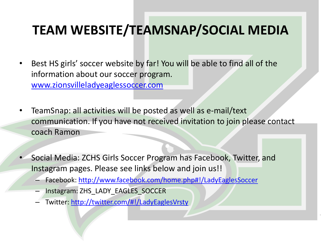### **TEAM WEBSITE/TEAMSNAP/SOCIAL MEDIA**

- Best HS girls' soccer website by far! You will be able to find all of the information about our soccer program. [www.zionsvilleladyeaglessoccer.com](http://www.zionsvilleladyeaglessoccer.com/)
- TeamSnap: all activities will be posted as well as e-mail/text communication. If you have not received invitation to join please contact coach Ramon
- Social Media: ZCHS Girls Soccer Program has Facebook, Twitter, and Instagram pages. Please see links below and join us!!
	- Facebook:<http://www.facebook.com/home.php#!/LadyEaglesSoccer>
	- Instagram: ZHS\_LADY\_EAGLES\_SOCCER
	- Twitter:<http://twitter.com/#!/LadyEaglesVrsty>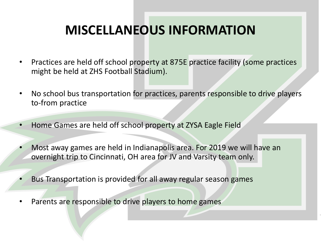### **MISCELLANEOUS INFORMATION**

- Practices are held off school property at 875E practice facility (some practices might be held at ZHS Football Stadium).
- No school bus transportation for practices, parents responsible to drive players to-from practice
- Home Games are held off school property at ZYSA Eagle Field
- Most away games are held in Indianapolis area. For 2019 we will have an overnight trip to Cincinnati, OH area for JV and Varsity team only.
- Bus Transportation is provided for all away regular season games
- Parents are responsible to drive players to home games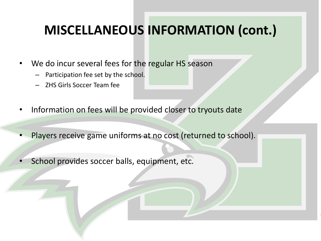### **MISCELLANEOUS INFORMATION (cont.)**

- We do incur several fees for the regular HS season
	- Participation fee set by the school.
	- ZHS Girls Soccer Team fee
- Information on fees will be provided closer to tryouts date
- Players receive game uniforms at no cost (returned to school).
- School provides soccer balls, equipment, etc.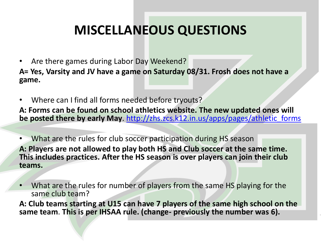## **MISCELLANEOUS QUESTIONS**

- Are there games during Labor Day Weekend? **A= Yes, Varsity and JV have a game on Saturday 08/31. Frosh does not have a game.**
- Where can I find all forms needed before tryouts?

**A: Forms can be found on school athletics website. The new updated ones will be posted there by early May**. [http://zhs.zcs.k12.in.us/apps/pages/athletic\\_forms](http://zhs.zcs.k12.in.us/apps/pages/athletic_forms)

• What are the rules for club soccer participation during HS season **A: Players are not allowed to play both HS and Club soccer at the same time. This includes practices. After the HS season is over players can join their club teams.** 

• What are the rules for number of players from the same HS playing for the same club team?

**A: Club teams starting at U15 can have 7 players of the same high school on the same team**. **This is per IHSAA rule. (change- previously the number was 6).**